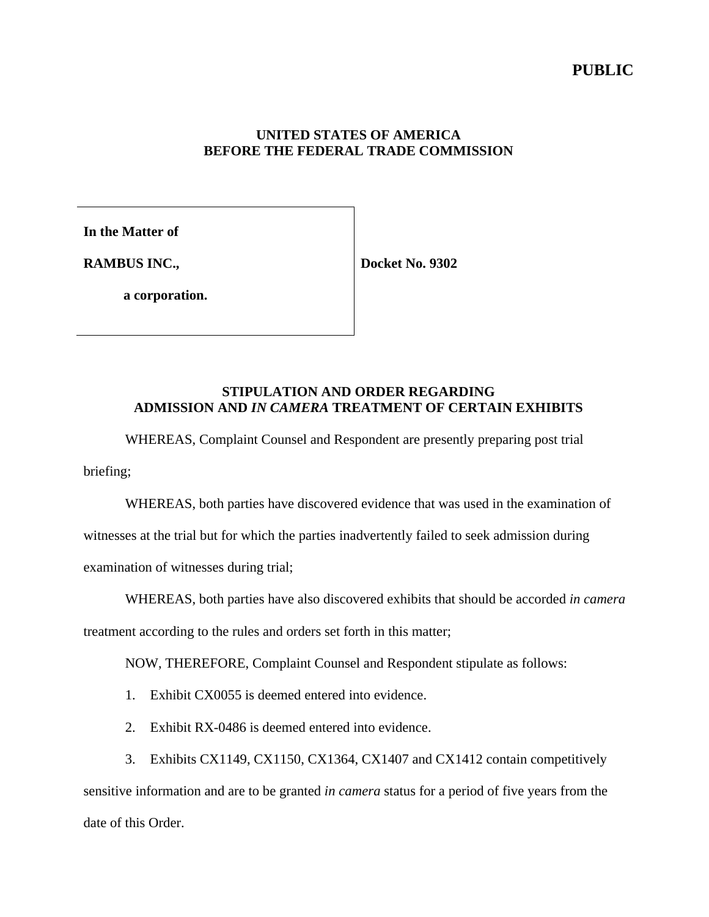#### **UNITED STATES OF AMERICA BEFORE THE FEDERAL TRADE COMMISSION**

**In the Matter of**

**RAMBUS INC.,**

**Docket No. 9302**

**a corporation.**

### **STIPULATION AND ORDER REGARDING ADMISSION AND** *IN CAMERA* **TREATMENT OF CERTAIN EXHIBITS**

WHEREAS, Complaint Counsel and Respondent are presently preparing post trial briefing;

WHEREAS, both parties have discovered evidence that was used in the examination of witnesses at the trial but for which the parties inadvertently failed to seek admission during examination of witnesses during trial;

WHEREAS, both parties have also discovered exhibits that should be accorded *in camera* treatment according to the rules and orders set forth in this matter;

NOW, THEREFORE, Complaint Counsel and Respondent stipulate as follows:

- 1. Exhibit CX0055 is deemed entered into evidence.
- 2. Exhibit RX-0486 is deemed entered into evidence.
- 3. Exhibits CX1149, CX1150, CX1364, CX1407 and CX1412 contain competitively

sensitive information and are to be granted *in camera* status for a period of five years from the date of this Order.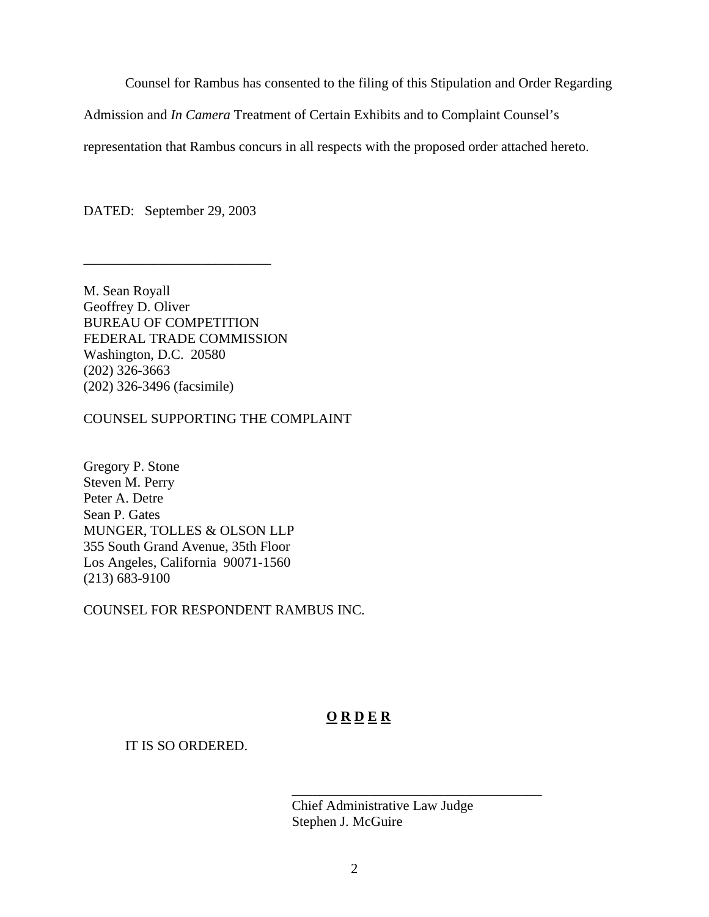Counsel for Rambus has consented to the filing of this Stipulation and Order Regarding

Admission and *In Camera* Treatment of Certain Exhibits and to Complaint Counsel's

representation that Rambus concurs in all respects with the proposed order attached hereto.

DATED: September 29, 2003

\_\_\_\_\_\_\_\_\_\_\_\_\_\_\_\_\_\_\_\_\_\_\_\_\_\_\_

M. Sean Royall Geoffrey D. Oliver BUREAU OF COMPETITION FEDERAL TRADE COMMISSION Washington, D.C. 20580 (202) 326-3663 (202) 326-3496 (facsimile)

COUNSEL SUPPORTING THE COMPLAINT

Gregory P. Stone Steven M. Perry Peter A. Detre Sean P. Gates MUNGER, TOLLES & OLSON LLP 355 South Grand Avenue, 35th Floor Los Angeles, California 90071-1560 (213) 683-9100

COUNSEL FOR RESPONDENT RAMBUS INC.

# **O R D E R**

## IT IS SO ORDERED.

Chief Administrative Law Judge Stephen J. McGuire

\_\_\_\_\_\_\_\_\_\_\_\_\_\_\_\_\_\_\_\_\_\_\_\_\_\_\_\_\_\_\_\_\_\_\_\_